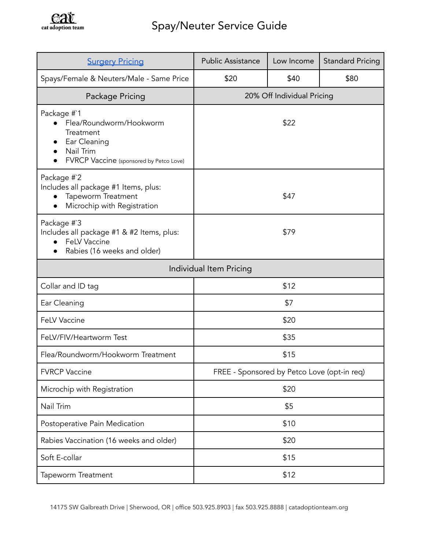

| <b>Surgery Pricing</b>                                                                                                      | <b>Public Assistance</b>                    | Low Income | <b>Standard Pricing</b> |
|-----------------------------------------------------------------------------------------------------------------------------|---------------------------------------------|------------|-------------------------|
| Spays/Female & Neuters/Male - Same Price                                                                                    | \$20                                        | \$40       | \$80                    |
| Package Pricing                                                                                                             | 20% Off Individual Pricing                  |            |                         |
| Package #`1<br>Flea/Roundworm/Hookworm<br>Treatment<br>Ear Cleaning<br>Nail Trim<br>FVRCP Vaccine (sponsored by Petco Love) | \$22                                        |            |                         |
| Package #`2<br>Includes all package #1 Items, plus:<br>Tapeworm Treatment<br>Microchip with Registration<br>$\bullet$       | \$47                                        |            |                         |
| Package #`3<br>Includes all package #1 & #2 Items, plus:<br><b>FeLV Vaccine</b><br>Rabies (16 weeks and older)              | \$79                                        |            |                         |
| Individual Item Pricing                                                                                                     |                                             |            |                         |
| Collar and ID tag                                                                                                           | \$12                                        |            |                         |
| Ear Cleaning                                                                                                                | \$7                                         |            |                         |
| <b>FeLV Vaccine</b>                                                                                                         | \$20                                        |            |                         |
| FeLV/FIV/Heartworm Test                                                                                                     | \$35                                        |            |                         |
| Flea/Roundworm/Hookworm Treatment                                                                                           | \$15                                        |            |                         |
| <b>FVRCP Vaccine</b>                                                                                                        | FREE - Sponsored by Petco Love (opt-in req) |            |                         |
| Microchip with Registration                                                                                                 | \$20                                        |            |                         |
| Nail Trim                                                                                                                   | \$5                                         |            |                         |
| Postoperative Pain Medication                                                                                               | \$10                                        |            |                         |
| Rabies Vaccination (16 weeks and older)                                                                                     | \$20                                        |            |                         |
| Soft E-collar                                                                                                               | \$15                                        |            |                         |
| Tapeworm Treatment                                                                                                          | \$12                                        |            |                         |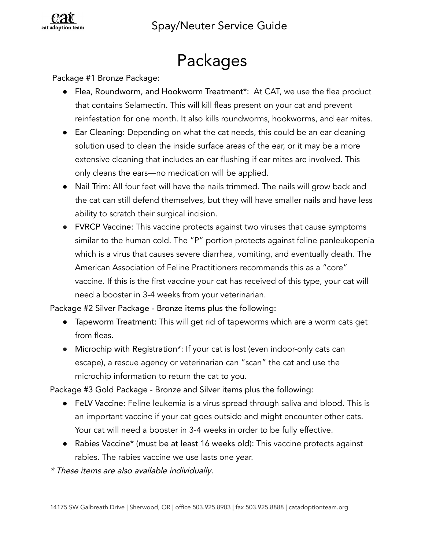

### Packages

#### Package #1 Bronze Package:

- **●** Flea, Roundworm, and Hookworm Treatment\*: At CAT, we use the flea product that contains Selamectin. This will kill fleas present on your cat and prevent reinfestation for one month. It also kills roundworms, hookworms, and ear mites.
- **●** Ear Cleaning: Depending on what the cat needs, this could be an ear cleaning solution used to clean the inside surface areas of the ear, or it may be a more extensive cleaning that includes an ear flushing if ear mites are involved. This only cleans the ears—no medication will be applied.
- **●** Nail Trim: All four feet will have the nails trimmed. The nails will grow back and the cat can still defend themselves, but they will have smaller nails and have less ability to scratch their surgical incision.
- FVRCP Vaccine: This vaccine protects against two viruses that cause symptoms similar to the human cold. The "P" portion protects against feline panleukopenia which is a virus that causes severe diarrhea, vomiting, and eventually death. The American Association of Feline Practitioners recommends this as a "core" vaccine. If this is the first vaccine your cat has received of this type, your cat will need a booster in 3-4 weeks from your veterinarian.

Package #2 Silver Package - Bronze items plus the following:

- **●** Tapeworm Treatment: This will get rid of tapeworms which are a worm cats get from fleas.
- **●** Microchip with Registration\*: If your cat is lost (even indoor-only cats can escape), a rescue agency or veterinarian can "scan" the cat and use the microchip information to return the cat to you.

Package #3 Gold Package - Bronze and Silver items plus the following:

- **●** FeLV Vaccine: Feline leukemia is a virus spread through saliva and blood. This is an important vaccine if your cat goes outside and might encounter other cats. Your cat will need a booster in 3-4 weeks in order to be fully effective.
- **●** Rabies Vaccine\* (must be at least 16 weeks old): This vaccine protects against rabies. The rabies vaccine we use lasts one year.

\* These items are also available individually.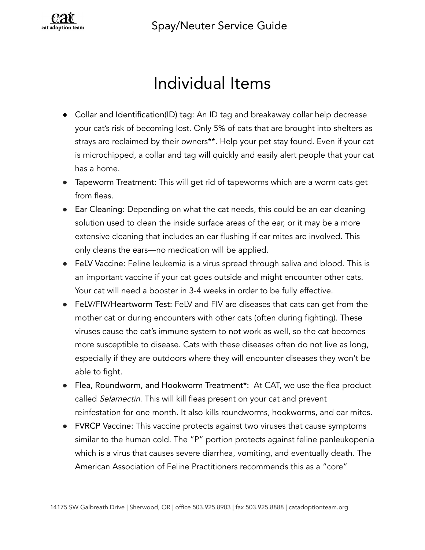### Spay/Neuter Service Guide



### Individual Items

- **●** Collar and Identification(ID) tag: An ID tag and breakaway collar help decrease your cat's risk of becoming lost. Only 5% of cats that are brought into shelters as strays are reclaimed by their owners\*\*. Help your pet stay found. Even if your cat is microchipped, a collar and tag will quickly and easily alert people that your cat has a home.
- Tapeworm Treatment: This will get rid of tapeworms which are a worm cats get from fleas.
- Ear Cleaning: Depending on what the cat needs, this could be an ear cleaning solution used to clean the inside surface areas of the ear, or it may be a more extensive cleaning that includes an ear flushing if ear mites are involved. This only cleans the ears—no medication will be applied.
- FeLV Vaccine: Feline leukemia is a virus spread through saliva and blood. This is an important vaccine if your cat goes outside and might encounter other cats. Your cat will need a booster in 3-4 weeks in order to be fully effective.
- FeLV/FIV/Heartworm Test: FeLV and FIV are diseases that cats can get from the mother cat or during encounters with other cats (often during fighting). These viruses cause the cat's immune system to not work as well, so the cat becomes more susceptible to disease. Cats with these diseases often do not live as long, especially if they are outdoors where they will encounter diseases they won't be able to fight.
- **●** Flea, Roundworm, and Hookworm Treatment\*: At CAT, we use the flea product called Selamectin. This will kill fleas present on your cat and prevent reinfestation for one month. It also kills roundworms, hookworms, and ear mites.
- FVRCP Vaccine: This vaccine protects against two viruses that cause symptoms similar to the human cold. The "P" portion protects against feline panleukopenia which is a virus that causes severe diarrhea, vomiting, and eventually death. The American Association of Feline Practitioners recommends this as a "core"